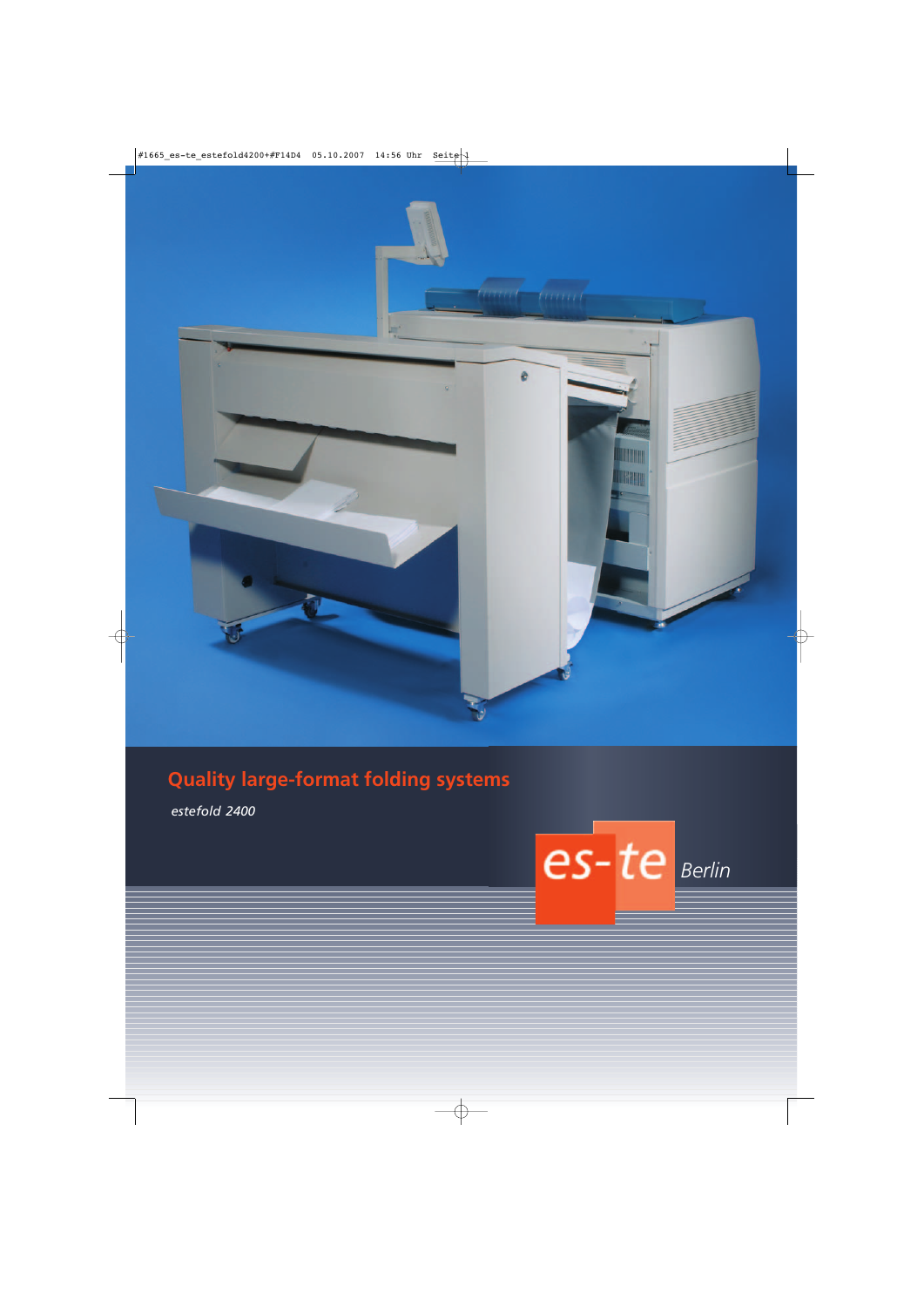

# **Quality large-format folding systems**

*estefold 2400*